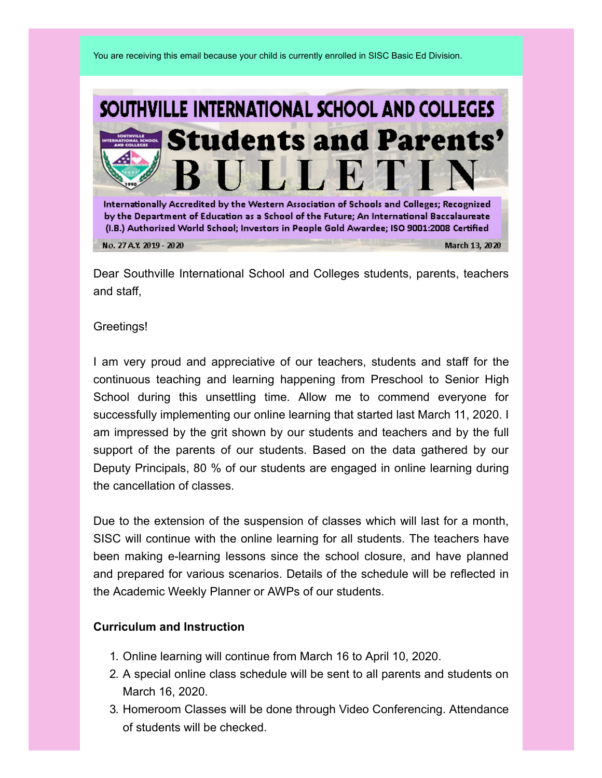You are receiving this email because your child is currently enrolled in SISC Basic Ed Division.



Dear Southville International School and Colleges students, parents, teachers and staff,

#### Greetings!

I am very proud and appreciative of our teachers, students and staff for the continuous teaching and learning happening from Preschool to Senior High School during this unsettling time. Allow me to commend everyone for successfully implementing our online learning that started last March 11, 2020. I am impressed by the grit shown by our students and teachers and by the full support of the parents of our students. Based on the data gathered by our Deputy Principals, 80 % of our students are engaged in online learning during the cancellation of classes.

Due to the extension of the suspension of classes which will last for a month, SISC will continue with the online learning for all students. The teachers have been making e-learning lessons since the school closure, and have planned and prepared for various scenarios. Details of the schedule will be reflected in the Academic Weekly Planner or AWPs of our students.

### **Curriculum and Instruction**

- 1. Online learning will continue from March 16 to April 10, 2020.
- 2. A special online class schedule will be sent to all parents and students on March 16, 2020.
- 3. Homeroom Classes will be done through Video Conferencing. Attendance of students will be checked.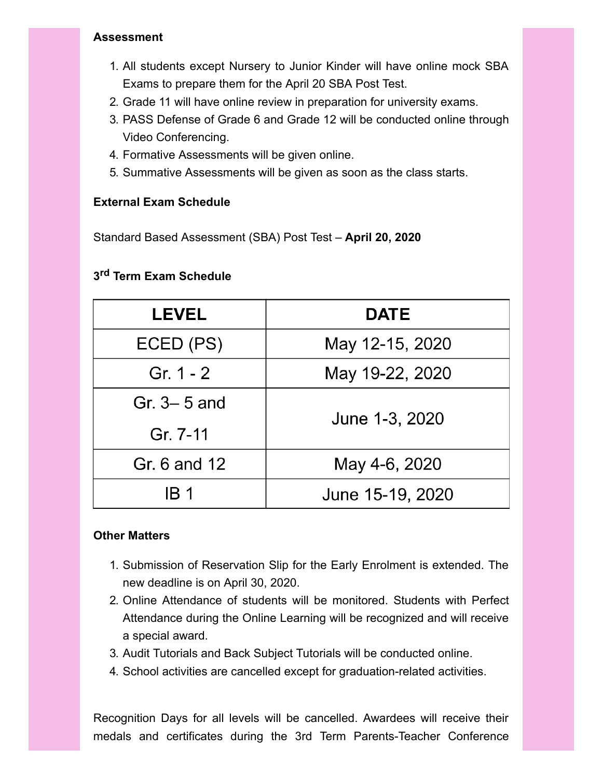### **Assessment**

- 1. All students except Nursery to Junior Kinder will have online mock SBA Exams to prepare them for the April 20 SBA Post Test.
- 2. Grade 11 will have online review in preparation for university exams.
- 3. PASS Defense of Grade 6 and Grade 12 will be conducted online through Video Conferencing.
- 4. Formative Assessments will be given online.
- 5. Summative Assessments will be given as soon as the class starts.

## **External Exam Schedule**

Standard Based Assessment (SBA) Post Test – **April 20, 2020**

# **3 rd Term Exam Schedule**

| <b>LEVEL</b>  | <b>DATE</b>      |
|---------------|------------------|
| ECED (PS)     | May 12-15, 2020  |
| Gr. 1 - 2     | May 19-22, 2020  |
| Gr. $3-5$ and | June 1-3, 2020   |
| Gr. 7-11      |                  |
| Gr. 6 and 12  | May 4-6, 2020    |
| IB 1          | June 15-19, 2020 |

### **Other Matters**

- 1. Submission of Reservation Slip for the Early Enrolment is extended. The new deadline is on April 30, 2020.
- 2. Online Attendance of students will be monitored. Students with Perfect Attendance during the Online Learning will be recognized and will receive a special award.
- 3. Audit Tutorials and Back Subject Tutorials will be conducted online.
- 4. School activities are cancelled except for graduation-related activities.

Recognition Days for all levels will be cancelled. Awardees will receive their medals and certificates during the 3rd Term Parents-Teacher Conference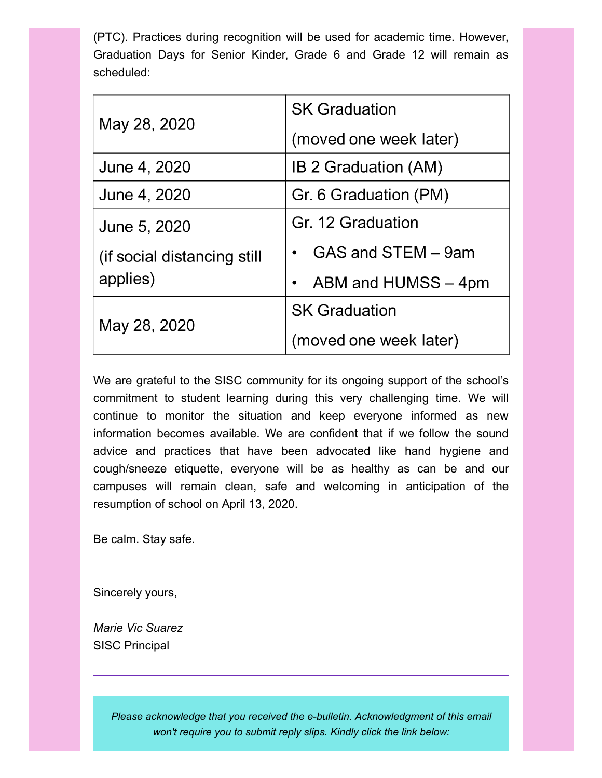(PTC). Practices during recognition will be used for academic time. However, Graduation Days for Senior Kinder, Grade 6 and Grade 12 will remain as scheduled:

| May 28, 2020                | <b>SK Graduation</b>   |
|-----------------------------|------------------------|
|                             | (moved one week later) |
| June 4, 2020                | IB 2 Graduation (AM)   |
| June 4, 2020                | Gr. 6 Graduation (PM)  |
| June 5, 2020                | Gr. 12 Graduation      |
| (if social distancing still | GAS and STEM - 9am     |
| applies)                    | ABM and HUMSS - 4pm    |
| May 28, 2020                | <b>SK Graduation</b>   |
|                             | (moved one week later) |

We are grateful to the SISC community for its ongoing support of the school's commitment to student learning during this very challenging time. We will continue to monitor the situation and keep everyone informed as new information becomes available. We are confident that if we follow the sound advice and practices that have been advocated like hand hygiene and cough/sneeze etiquette, everyone will be as healthy as can be and our campuses will remain clean, safe and welcoming in anticipation of the resumption of school on April 13, 2020.

Be calm. Stay safe.

Sincerely yours,

*Marie Vic Suarez* SISC Principal

> *Please acknowledge that you received the e-bulletin. Acknowledgment of this email won't require you to submit reply slips. Kindly click the link below:*